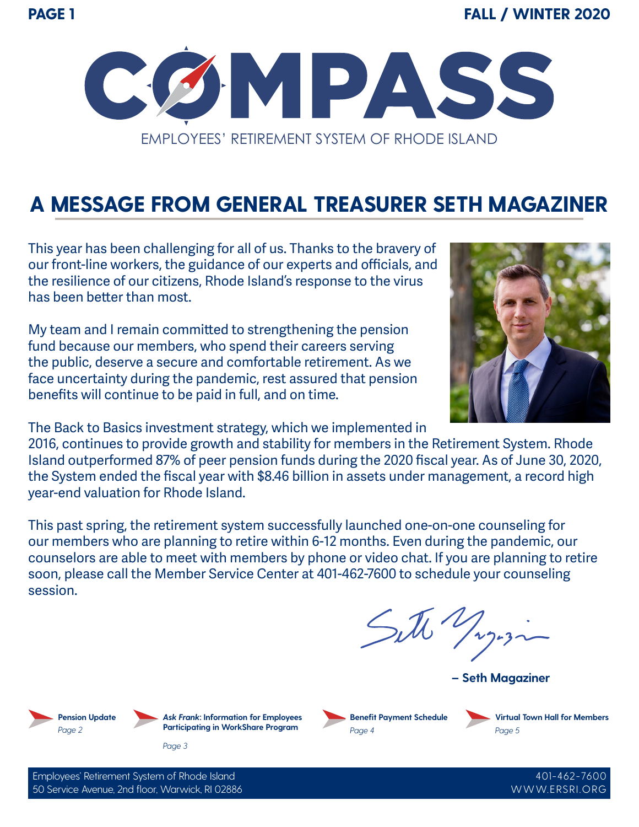

## **A MESSAGE FROM GENERAL TREASURER SETH MAGAZINER**

This year has been challenging for all of us. Thanks to the bravery of our front-line workers, the guidance of our experts and officials, and the resilience of our citizens, Rhode Island's response to the virus has been better than most.

My team and I remain committed to strengthening the pension fund because our members, who spend their careers serving the public, deserve a secure and comfortable retirement. As we face uncertainty during the pandemic, rest assured that pension benefits will continue to be paid in full, and on time.

The Back to Basics investment strategy, which we implemented in

2016, continues to provide growth and stability for members in the Retirement System. Rhode Island outperformed 87% of peer pension funds during the 2020 fiscal year. As of June 30, 2020, the System ended the fiscal year with \$8.46 billion in assets under management, a record high year-end valuation for Rhode Island.

This past spring, the retirement system successfully launched one-on-one counseling for our members who are planning to retire within 6-12 months. Even during the pandemic, our counselors are able to meet with members by phone or video chat. If you are planning to retire soon, please call the Member Service Center at 401-462-7600 to schedule your counseling session.

Sitte Jug.z.

**– Seth Magaziner**





**Benefit Payment Schedule** *Page 4*

**Virtual Town Hall for Members** *Page 5*

> 401-462-7600 WWW.ERSRI.ORG

Employees' Retirement System of Rhode Island 50 Service Avenue, 2nd floor, Warwick, RI 02886

*Page 3*

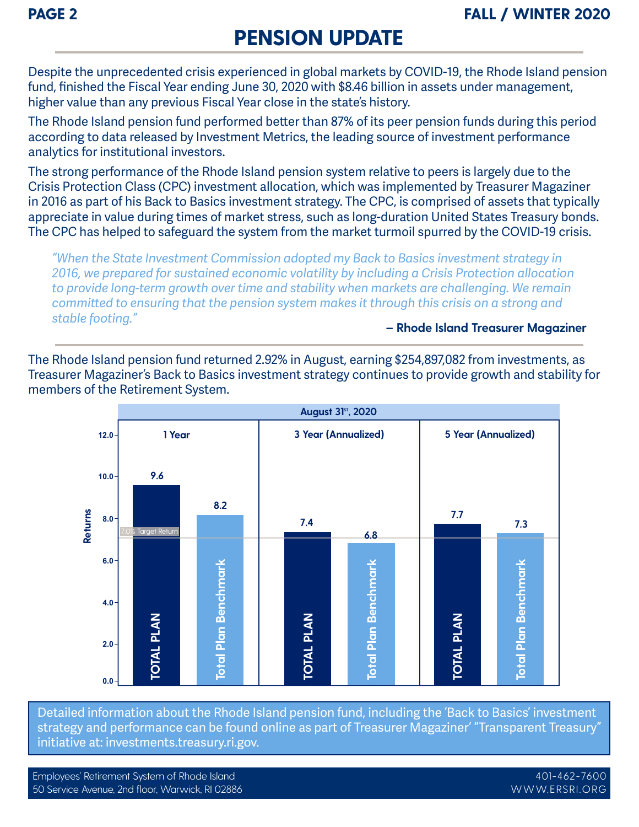## **PENSION UPDATE**

Despite the unprecedented crisis experienced in global markets by COVID-19, the Rhode Island pension fund, finished the Fiscal Year ending June 30, 2020 with \$8.46 billion in assets under management, higher value than any previous Fiscal Year close in the state's history.

The Rhode Island pension fund performed better than 87% of its peer pension funds during this period according to data released by Investment Metrics, the leading source of investment performance analytics for institutional investors.

The strong performance of the Rhode Island pension system relative to peers is largely due to the Crisis Protection Class (CPC) investment allocation, which was implemented by Treasurer Magaziner in 2016 as part of his Back to Basics investment strategy. The CPC, is comprised of assets that typically appreciate in value during times of market stress, such as long-duration United States Treasury bonds. The CPC has helped to safeguard the system from the market turmoil spurred by the COVID-19 crisis.

*"When the State Investment Commission adopted my Back to Basics investment strategy in 2016, we prepared for sustained economic volatility by including a Crisis Protection allocation to provide long-term growth over time and stability when markets are challenging. We remain committed to ensuring that the pension system makes it through this crisis on a strong and stable footing."* **– Rhode Island Treasurer Magaziner**

The Rhode Island pension fund returned 2.92% in August, earning \$254,897,082 from investments, as Treasurer Magaziner's Back to Basics investment strategy continues to provide growth and stability for members of the Retirement System.



Detailed information about the Rhode Island pension fund, including the 'Back to Basics' investment strategy and performance can be found online as part of Treasurer Magaziner' "Transparent Treasury" initiative at: investments.treasury.ri.gov.

Employees' Retirement System of Rhode Island 50 Service Avenue, 2nd floor, Warwick, RI 02886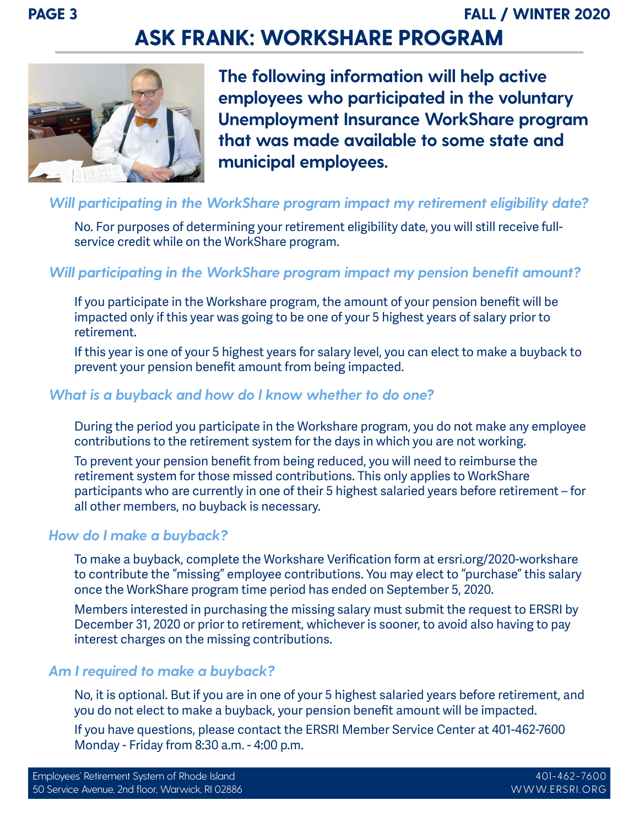## **ASK FRANK: WORKSHARE PROGRAM**



**The following information will help active employees who participated in the voluntary Unemployment Insurance WorkShare program that was made available to some state and municipal employees.**

### *Will participating in the WorkShare program impact my retirement eligibility date?*

No. For purposes of determining your retirement eligibility date, you will still receive fullservice credit while on the WorkShare program.

### *Will participating in the WorkShare program impact my pension benefit amount?*

If you participate in the Workshare program, the amount of your pension benefit will be impacted only if this year was going to be one of your 5 highest years of salary prior to retirement.

If this year is one of your 5 highest years for salary level, you can elect to make a buyback to prevent your pension benefit amount from being impacted.

### *What is a buyback and how do I know whether to do one?*

During the period you participate in the Workshare program, you do not make any employee contributions to the retirement system for the days in which you are not working.

To prevent your pension benefit from being reduced, you will need to reimburse the retirement system for those missed contributions. This only applies to WorkShare participants who are currently in one of their 5 highest salaried years before retirement – for all other members, no buyback is necessary.

#### *How do I make a buyback?*

To make a buyback, complete the Workshare Verification form at ersri.org/2020-workshare to contribute the "missing" employee contributions. You may elect to "purchase" this salary once the WorkShare program time period has ended on September 5, 2020.

Members interested in purchasing the missing salary must submit the request to ERSRI by December 31, 2020 or prior to retirement, whichever is sooner, to avoid also having to pay interest charges on the missing contributions.

### *Am I required to make a buyback?*

No, it is optional. But if you are in one of your 5 highest salaried years before retirement, and you do not elect to make a buyback, your pension benefit amount will be impacted.

If you have questions, please contact the ERSRI Member Service Center at 401-462-7600 Monday - Friday from 8:30 a.m. - 4:00 p.m.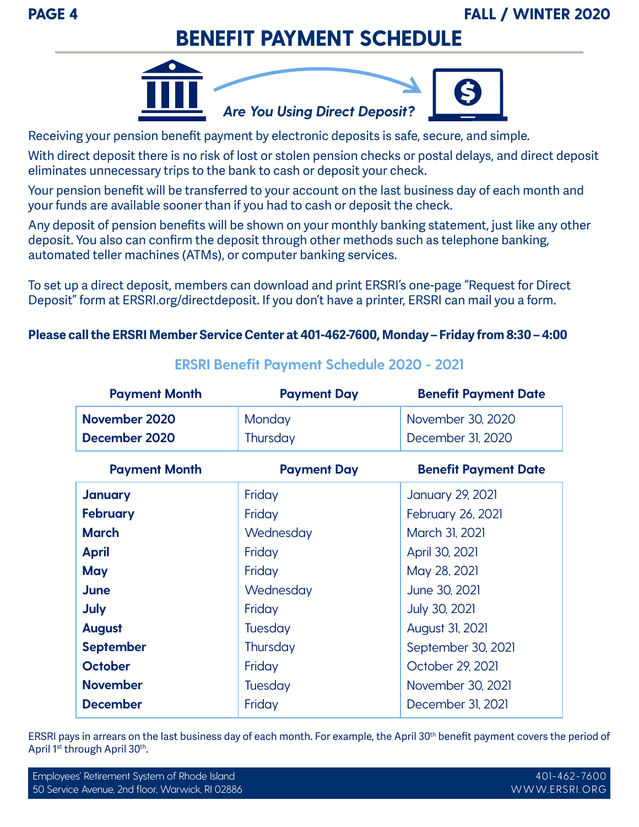**PAGE 4 FALL / WINTER 2020**

### **BENEFIT PAYMENT SCHEDULE**



Receiving your pension benefit payment by electronic deposits is safe, secure, and simple.

With direct deposit there is no risk of lost or stolen pension checks or postal delays, and direct deposit eliminates unnecessary trips to the bank to cash or deposit your check.

Your pension benefit will be transferred to your account on the last business day of each month and your funds are available sooner than if you had to cash or deposit the check.

Any deposit of pension benefits will be shown on your monthly banking statement, just like any other deposit. You also can confirm the deposit through other methods such as telephone banking, automated teller machines (ATMs), or computer banking services.

To set up a direct deposit, members can download and print ERSRI's one-page "Request for Direct Deposit" form at ERSRI.org/directdeposit. If you don't have a printer, ERSRI can mail you a form.

### **Please call the ERSRI Member Service Center at 401-462-7600, Monday – Friday from 8:30 – 4:00**

| <b>Payment Month</b> | <b>Payment Day</b> | <b>Benefit Payment Date</b> |
|----------------------|--------------------|-----------------------------|
| November 2020        | Monday             | November 30, 2020           |
| December 2020        | Thursday           | December 31, 2020           |
| <b>Payment Month</b> | <b>Payment Day</b> | <b>Benefit Payment Date</b> |
| <b>January</b>       | Friday             | <b>January 29, 2021</b>     |
| <b>February</b>      | Friday             | <b>February 26, 2021</b>    |
| <b>March</b>         | Wednesday          | March 31, 2021              |
| <b>April</b>         | Friday             | April 30, 2021              |
| May                  | Friday             | May 28, 2021                |
| <b>June</b>          | Wednesday          | June 30, 2021               |
| <b>July</b>          | Friday             | July 30, 2021               |
| <b>August</b>        | Tuesday            | August 31, 2021             |
| <b>September</b>     | Thursday           | September 30, 2021          |
| <b>October</b>       | Friday             | October 29, 2021            |
| <b>November</b>      | Tuesday            | November 30, 2021           |
| <b>December</b>      | Friday             | December 31, 2021           |

### **ERSRI Benefit Payment Schedule 2020 - 2021**

ERSRI pays in arrears on the last business day of each month. For example, the April 30th benefit payment covers the period of April 1st through April 30th.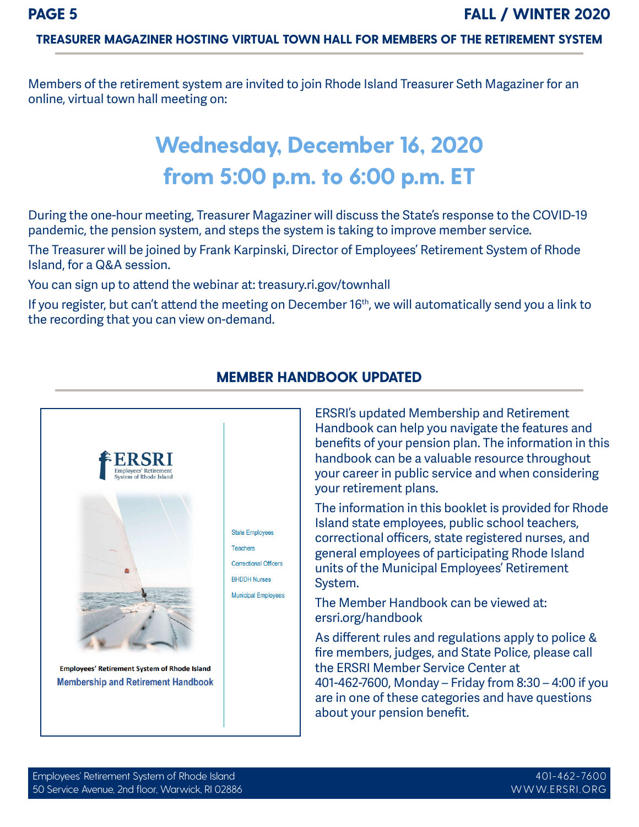#### **TREASURER MAGAZINER HOSTING VIRTUAL TOWN HALL FOR MEMBERS OF THE RETIREMENT SYSTEM**

Members of the retirement system are invited to join Rhode Island Treasurer Seth Magaziner for an online, virtual town hall meeting on:

# **Wednesday, December 16, 2020 from 5:00 p.m. to 6:00 p.m. ET**

During the one-hour meeting, Treasurer Magaziner will discuss the State's response to the COVID-19 pandemic, the pension system, and steps the system is taking to improve member service.

The Treasurer will be joined by Frank Karpinski, Director of Employees' Retirement System of Rhode Island, for a Q&A session.

You can sign up to attend the webinar at: treasury.ri.gov/townhall

If you register, but can't attend the meeting on December 16<sup>th</sup>, we will automatically send you a link to the recording that you can view on-demand.



#### **MEMBER HANDBOOK UPDATED**

ERSRI's updated Membership and Retirement Handbook can help you navigate the features and benefits of your pension plan. The information in this handbook can be a valuable resource throughout your career in public service and when considering your retirement plans.

The information in this booklet is provided for Rhode Island state employees, public school teachers, correctional officers, state registered nurses, and general employees of participating Rhode Island units of the Municipal Employees' Retirement System.

The Member Handbook can be viewed at: ersri.org/handbook

As different rules and regulations apply to police & fire members, judges, and State Police, please call the ERSRI Member Service Center at 401-462-7600, Monday – Friday from 8:30 – 4:00 if you are in one of these categories and have questions about your pension benefit.